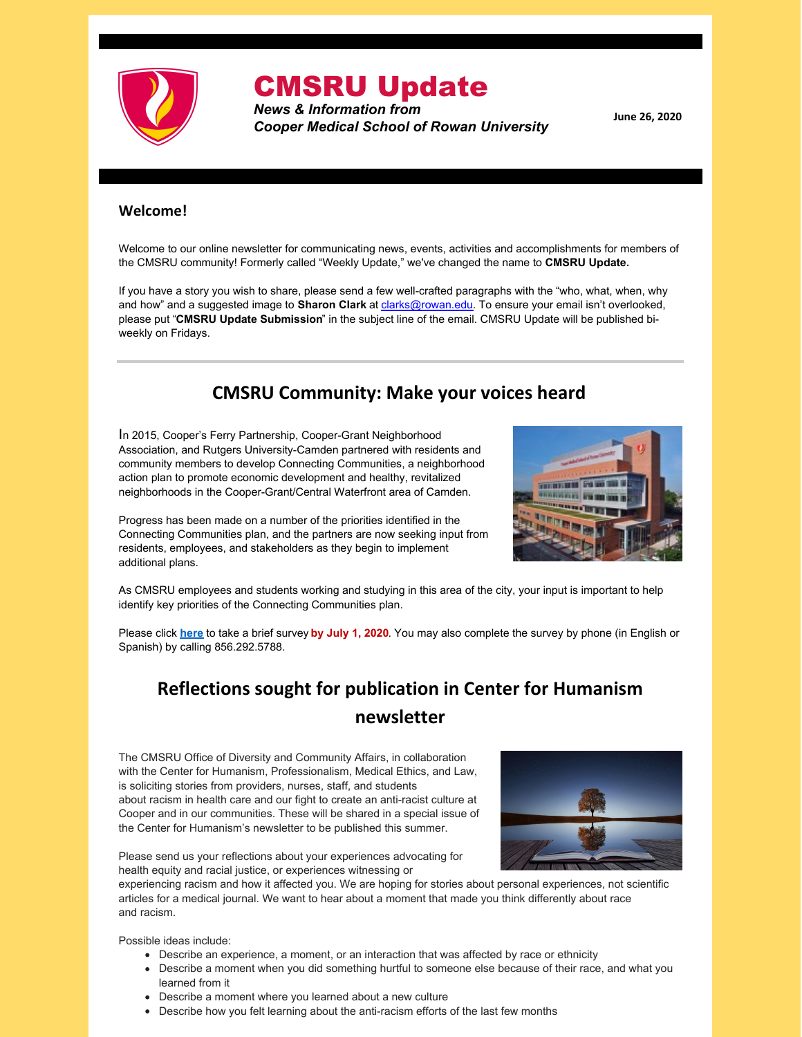

# CMSRU Update

*News & Information from Cooper Medical School of Rowan University*

**June 26, 2020**

#### **Welcome!**

Welcome to our online newsletter for communicating news, events, activities and accomplishments for members of the CMSRU community! Formerly called "Weekly Update," we've changed the name to **CMSRU Update.**

If you have a story you wish to share, please send a few well-crafted paragraphs with the "who, what, when, why and how" and a suggested image to **Sharon Clark** at [clarks@rowan.edu](mailto:clarks@rowan.edu). To ensure your email isn't overlooked, please put "**CMSRU Update Submission**" in the subject line of the email. CMSRU Update will be published biweekly on Fridays.

### **CMSRU Community: Make your voices heard**

In 2015, Cooper's Ferry Partnership, Cooper-Grant Neighborhood Association, and Rutgers University-Camden partnered with residents and community members to develop Connecting Communities, a neighborhood action plan to promote economic development and healthy, revitalized neighborhoods in the Cooper-Grant/Central Waterfront area of Camden.



Progress has been made on a number of the priorities identified in the Connecting Communities plan, and the partners are now seeking input from residents, employees, and stakeholders as they begin to implement additional plans.

As CMSRU employees and students working and studying in this area of the city, your input is important to help identify key priorities of the Connecting Communities plan.

Please click **[here](https://www.surveymonkey.com/r/ConnectingCommunities2020)** to take a brief survey **by July 1, 2020**. You may also complete the survey by phone (in English or Spanish) by calling 856.292.5788.

## **Reflections sought for publication in Center for Humanism newsletter**

The CMSRU Office of Diversity and Community Affairs, in collaboration with the Center for Humanism, Professionalism, Medical Ethics, and Law, is soliciting stories from providers, nurses, staff, and students about racism in health care and our fight to create an anti-racist culture at Cooper and in our communities. These will be shared in a special issue of the Center for Humanism's newsletter to be published this summer.



Please send us your reflections about your experiences advocating for health equity and racial justice, or experiences witnessing or

experiencing racism and how it affected you. We are hoping for stories about personal experiences, not scientific articles for a medical journal. We want to hear about a moment that made you think differently about race and racism.

Possible ideas include:

- Describe an experience, a moment, or an interaction that was affected by race or ethnicity
- Describe a moment when you did something hurtful to someone else because of their race, and what you learned from it
- Describe a moment where you learned about a new culture
- Describe how you felt learning about the anti-racism efforts of the last few months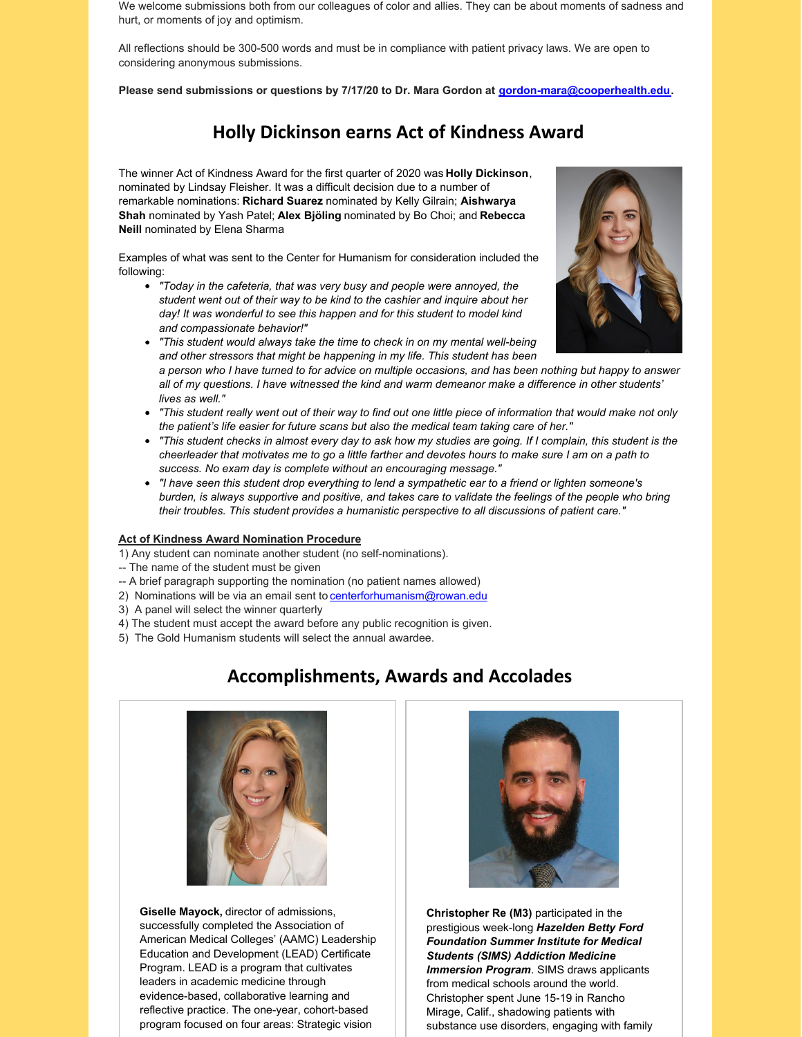We welcome submissions both from our colleagues of color and allies. They can be about moments of sadness and hurt, or moments of joy and optimism.

All reflections should be 300-500 words and must be in compliance with patient privacy laws. We are open to considering anonymous submissions.

**Please send submissions or questions by 7/17/20 to Dr. Mara Gordon at [gordon-mara@cooperhealth.edu](mailto:gordon-mara@cooperhealth.edu).**

### **Holly Dickinson earns Act of Kindness Award**

The winner Act of Kindness Award for the first quarter of 2020 was **Holly Dickinson**, nominated by Lindsay Fleisher. It was a difficult decision due to a number of remarkable nominations: **Richard Suarez** nominated by Kelly Gilrain; **Aishwarya Shah** nominated by Yash Patel; **Alex Bjöling** nominated by Bo Choi; and **Rebecca Neill** nominated by Elena Sharma

Examples of what was sent to the Center for Humanism for consideration included the following:

- *"Today in the cafeteria, that was very busy and people were annoyed, the student went out of their way to be kind to the cashier and inquire about her day! It was wonderful to see this happen and for this student to model kind and compassionate behavior!"*
- *"This student would always take the time to check in on my mental well-being and other stressors that might be happening in my life. This student has been* a person who I have turned to for advice on multiple occasions, and has been nothing but happy to answer
- all of my questions. I have witnessed the kind and warm demeanor make a difference in other students' *lives as well."*
- "This student really went out of their way to find out one little piece of information that would make not only *the patient's life easier for future scans but also the medical team taking care of her."*
- "This student checks in almost every day to ask how my studies are going. If I complain, this student is the cheerleader that motivates me to go a little farther and devotes hours to make sure I am on a path to *success. No exam day is complete without an encouraging message."*
- "I have seen this student drop everything to lend a sympathetic ear to a friend or lighten someone's burden, is always supportive and positive, and takes care to validate the feelings of the people who bring *their troubles. This student provides a humanistic perspective to all discussions of patient care."*

#### **Act of Kindness Award Nomination Procedure**

1) Any student can nominate another student (no self-nominations).

- -- The name of the student must be given
- -- A brief paragraph supporting the nomination (no patient names allowed)
- 2) Nominations will be via an email sent to [centerforhumanism@rowan.edu](mailto:centerforhumanism@rowan.edu%22 %5Ct %22_blank)
- 3) A panel will select the winner quarterly
- 4) The student must accept the award before any public recognition is given.
- 5) The Gold Humanism students will select the annual awardee.

#### **Accomplishments, Awards and Accolades**

**Giselle Mayock,** director of admissions, successfully completed the Association of American Medical Colleges' (AAMC) Leadership Education and Development (LEAD) Certificate Program. LEAD is a program that cultivates leaders in academic medicine through evidence-based, collaborative learning and reflective practice. The one-year, cohort-based program focused on four areas: Strategic vision



**Christopher Re (M3)** participated in the prestigious week-long *Hazelden Betty Ford Foundation Summer Institute for Medical Students (SIMS) Addiction Medicine Immersion Program*. SIMS draws applicants from medical schools around the world. Christopher spent June 15-19 in Rancho Mirage, Calif., shadowing patients with substance use disorders, engaging with family